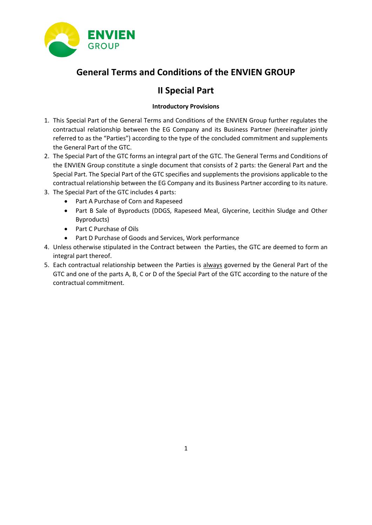

# **General Terms and Conditions of the ENVIEN GROUP**

# **II Special Part**

## **Introductory Provisions**

- 1. This Special Part of the General Terms and Conditions of the ENVIEN Group further regulates the contractual relationship between the EG Company and its Business Partner (hereinafter jointly referred to as the "Parties") according to the type of the concluded commitment and supplements the General Part of the GTC.
- 2. The Special Part of the GTC forms an integral part of the GTC. The General Terms and Conditions of the ENVIEN Group constitute a single document that consists of 2 parts: the General Part and the Special Part. The Special Part of the GTC specifies and supplements the provisions applicable to the contractual relationship between the EG Company and its Business Partner according to its nature.
- 3. The Special Part of the GTC includes 4 parts:
	- Part A Purchase of Corn and Rapeseed
	- Part B Sale of Byproducts (DDGS, Rapeseed Meal, Glycerine, Lecithin Sludge and Other Byproducts)
	- Part C Purchase of Oils
	- Part D Purchase of Goods and Services, Work performance
- 4. Unless otherwise stipulated in the Contract between the Parties, the GTC are deemed to form an integral part thereof.
- 5. Each contractual relationship between the Parties is always governed by the General Part of the GTC and one of the parts A, B, C or D of the Special Part of the GTC according to the nature of the contractual commitment.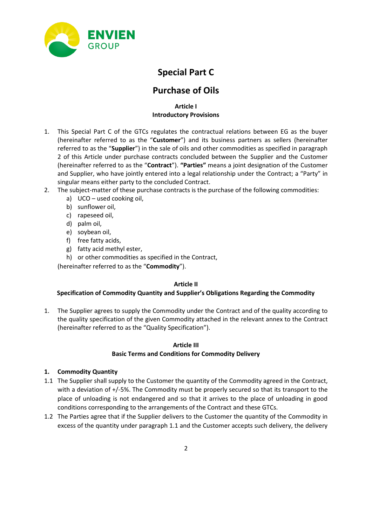

# **Special Part C**

## **Purchase of Oils**

### **Article I Introductory Provisions**

- 1. This Special Part C of the GTCs regulates the contractual relations between EG as the buyer (hereinafter referred to as the "**Customer**") and its business partners as sellers (hereinafter referred to as the "**Supplier**") in the sale of oils and other commodities as specified in paragraph 2 of this Article under purchase contracts concluded between the Supplier and the Customer (hereinafter referred to as the "**Contract**"). **"Parties"** means a joint designation of the Customer and Supplier, who have jointly entered into a legal relationship under the Contract; a "Party" in singular means either party to the concluded Contract.
- 2. The subject-matter of these purchase contracts is the purchase of the following commodities:
	- a) UCO used cooking oil,
	- b) sunflower oil,
	- c) rapeseed oil,
	- d) palm oil,
	- e) soybean oil,
	- f) free fatty acids,
	- g) fatty acid methyl ester,
	- h) or other commodities as specified in the Contract,

(hereinafter referred to as the "**Commodity**").

### **Article II**

### **Specification of Commodity Quantity and Supplier's Obligations Regarding the Commodity**

1. The Supplier agrees to supply the Commodity under the Contract and of the quality according to the quality specification of the given Commodity attached in the relevant annex to the Contract (hereinafter referred to as the "Quality Specification").

### **Article III**

### **Basic Terms and Conditions for Commodity Delivery**

### **1. Commodity Quantity**

- 1.1 The Supplier shall supply to the Customer the quantity of the Commodity agreed in the Contract, with a deviation of +/-5%. The Commodity must be properly secured so that its transport to the place of unloading is not endangered and so that it arrives to the place of unloading in good conditions corresponding to the arrangements of the Contract and these GTCs.
- 1.2 The Parties agree that if the Supplier delivers to the Customer the quantity of the Commodity in excess of the quantity under paragraph 1.1 and the Customer accepts such delivery, the delivery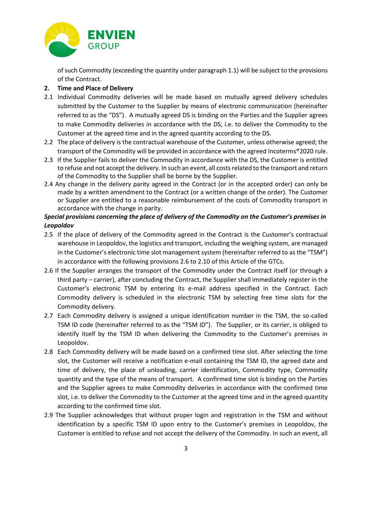

of such Commodity (exceeding the quantity under paragraph 1.1) will be subject to the provisions of the Contract.

### **2. Time and Place of Delivery**

- 2.1 Individual Commodity deliveries will be made based on mutually agreed delivery schedules submitted by the Customer to the Supplier by means of electronic communication (hereinafter referred to as the "DS"). A mutually agreed DS is binding on the Parties and the Supplier agrees to make Commodity deliveries in accordance with the DS, i.e. to deliver the Commodity to the Customer at the agreed time and in the agreed quantity according to the DS.
- 2.2 The place of delivery is the contractual warehouse of the Customer, unless otherwise agreed; the transport of the Commodity will be provided in accordance with the agreed Incoterms®2020 rule.
- 2.3 If the Supplier fails to deliver the Commodity in accordance with the DS, the Customer is entitled to refuse and not accept the delivery. In such an event, all costs related to the transport and return of the Commodity to the Supplier shall be borne by the Supplier.
- 2.4 Any change in the delivery parity agreed in the Contract (or in the accepted order) can only be made by a written amendment to the Contract (or a written change of the order). The Customer or Supplier are entitled to a reasonable reimbursement of the costs of Commodity transport in accordance with the change in parity.

#### *Special provisions concerning the place of delivery of the Commodity on the Customer's premises in Leopoldov*

- 2.5 If the place of delivery of the Commodity agreed in the Contract is the Customer's contractual warehouse in Leopoldov, the logistics and transport, including the weighing system, are managed in the Customer's electronic time slot management system (hereinafter referred to as the "TSM") in accordance with the following provisions 2.6 to 2.10 of this Article of the GTCs.
- 2.6 If the Supplier arranges the transport of the Commodity under the Contract itself (or through a third party – carrier), after concluding the Contract, the Supplier shall immediately register in the Customer's electronic TSM by entering its e-mail address specified in the Contract. Each Commodity delivery is scheduled in the electronic TSM by selecting free time slots for the Commodity delivery.
- 2.7 Each Commodity delivery is assigned a unique identification number in the TSM, the so-called TSM ID code (hereinafter referred to as the "TSM ID"). The Supplier, or its carrier, is obliged to identify itself by the TSM ID when delivering the Commodity to the Customer's premises in Leopoldov.
- 2.8 Each Commodity delivery will be made based on a confirmed time slot. After selecting the time slot, the Customer will receive a notification e-mail containing the TSM ID, the agreed date and time of delivery, the place of unloading, carrier identification, Commodity type, Commodity quantity and the type of the means of transport. A confirmed time slot is binding on the Parties and the Supplier agrees to make Commodity deliveries in accordance with the confirmed time slot, i.e. to deliver the Commodity to the Customer at the agreed time and in the agreed quantity according to the confirmed time slot.
- 2.9 The Supplier acknowledges that without proper login and registration in the TSM and without identification by a specific TSM ID upon entry to the Customer's premises in Leopoldov, the Customer is entitled to refuse and not accept the delivery of the Commodity. In such an event, all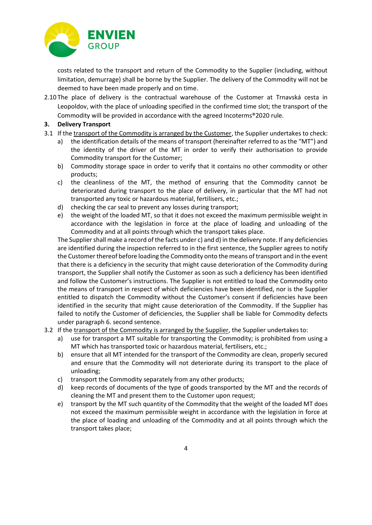

costs related to the transport and return of the Commodity to the Supplier (including, without limitation, demurrage) shall be borne by the Supplier. The delivery of the Commodity will not be deemed to have been made properly and on time.

2.10 The place of delivery is the contractual warehouse of the Customer at Trnavská cesta in Leopoldov, with the place of unloading specified in the confirmed time slot; the transport of the Commodity will be provided in accordance with the agreed Incoterms®2020 rule.

#### **3. Delivery Transport**

- 3.1 If the transport of the Commodity is arranged by the Customer, the Supplier undertakes to check:
	- a) the identification details of the means of transport (hereinafter referred to as the "MT") and the identity of the driver of the MT in order to verify their authorisation to provide Commodity transport for the Customer;
	- b) Commodity storage space in order to verify that it contains no other commodity or other products;
	- c) the cleanliness of the MT, the method of ensuring that the Commodity cannot be deteriorated during transport to the place of delivery, in particular that the MT had not transported any toxic or hazardous material, fertilisers, etc.;
	- d) checking the car seal to prevent any losses during transport;
	- e) the weight of the loaded MT, so that it does not exceed the maximum permissible weight in accordance with the legislation in force at the place of loading and unloading of the Commodity and at all points through which the transport takes place.

The Supplier shall make a record of the facts under c) and d) in the delivery note. If any deficiencies are identified during the inspection referred to in the first sentence, the Supplier agrees to notify the Customer thereof before loading the Commodity onto the means of transport and in the event that there is a deficiency in the security that might cause deterioration of the Commodity during transport, the Supplier shall notify the Customer as soon as such a deficiency has been identified and follow the Customer's instructions. The Supplier is not entitled to load the Commodity onto the means of transport in respect of which deficiencies have been identified, nor is the Supplier entitled to dispatch the Commodity without the Customer's consent if deficiencies have been identified in the security that might cause deterioration of the Commodity. If the Supplier has failed to notify the Customer of deficiencies, the Supplier shall be liable for Commodity defects under paragraph 6. second sentence.

- 3.2 If the transport of the Commodity is arranged by the Supplier, the Supplier undertakes to:
	- a) use for transport a MT suitable for transporting the Commodity; is prohibited from using a MT which has transported toxic or hazardous material, fertilisers, etc.;
	- b) ensure that all MT intended for the transport of the Commodity are clean, properly secured and ensure that the Commodity will not deteriorate during its transport to the place of unloading;
	- c) transport the Commodity separately from any other products;
	- d) keep records of documents of the type of goods transported by the MT and the records of cleaning the MT and present them to the Customer upon request;
	- e) transport by the MT such quantity of the Commodity that the weight of the loaded MT does not exceed the maximum permissible weight in accordance with the legislation in force at the place of loading and unloading of the Commodity and at all points through which the transport takes place;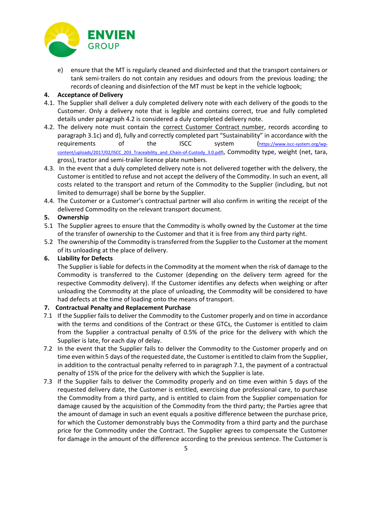

e) ensure that the MT is regularly cleaned and disinfected and that the transport containers or tank semi-trailers do not contain any residues and odours from the previous loading; the records of cleaning and disinfection of the MT must be kept in the vehicle logbook;

#### **4. Acceptance of Delivery**

- 4.1. The Supplier shall deliver a duly completed delivery note with each delivery of the goods to the Customer. Only a delivery note that is legible and contains correct, true and fully completed details under paragraph 4.2 is considered a duly completed delivery note.
- 4.2. The delivery note must contain the correct Customer Contract number, records according to paragraph 3.1c) and d), fully and correctly completed part "Sustainability" in accordance with the requirements of the ISCC system ([https://www.iscc-system.org/wp](https://www.iscc-system.org/wp-content/uploads/2017/02/ISCC_203_Traceability_and_Chain-of-Custody_3.0.pdf)[content/uploads/2017/02/ISCC\\_203\\_Traceability\\_and\\_Chain-of-Custody\\_3.0.pdf\)](https://www.iscc-system.org/wp-content/uploads/2017/02/ISCC_203_Traceability_and_Chain-of-Custody_3.0.pdf), Commodity type, weight (net, tara, gross), tractor and semi-trailer licence plate numbers.
- 4.3. In the event that a duly completed delivery note is not delivered together with the delivery, the Customer is entitled to refuse and not accept the delivery of the Commodity. In such an event, all costs related to the transport and return of the Commodity to the Supplier (including, but not limited to demurrage) shall be borne by the Supplier.
- 4.4. The Customer or a Customer's contractual partner will also confirm in writing the receipt of the delivered Commodity on the relevant transport document.

#### **5. Ownership**

- 5.1 The Supplier agrees to ensure that the Commodity is wholly owned by the Customer at the time of the transfer of ownership to the Customer and that it is free from any third party right.
- 5.2 The ownership of the Commodity is transferred from the Supplier to the Customer at the moment of its unloading at the place of delivery.

#### **6. Liability for Defects**

The Supplier is liable for defects in the Commodity at the moment when the risk of damage to the Commodity is transferred to the Customer (depending on the delivery term agreed for the respective Commodity delivery). If the Customer identifies any defects when weighing or after unloading the Commodity at the place of unloading, the Commodity will be considered to have had defects at the time of loading onto the means of transport.

#### **7. Contractual Penalty and Replacement Purchase**

- 7.1 If the Supplier fails to deliver the Commodity to the Customer properly and on time in accordance with the terms and conditions of the Contract or these GTCs, the Customer is entitled to claim from the Supplier a contractual penalty of 0.5% of the price for the delivery with which the Supplier is late, for each day of delay.
- 7.2 In the event that the Supplier fails to deliver the Commodity to the Customer properly and on time even within 5 days of the requested date, the Customer is entitled to claim from the Supplier, in addition to the contractual penalty referred to in paragraph 7.1, the payment of a contractual penalty of 15% of the price for the delivery with which the Supplier is late.
- 7.3 If the Supplier fails to deliver the Commodity properly and on time even within 5 days of the requested delivery date, the Customer is entitled, exercising due professional care, to purchase the Commodity from a third party, and is entitled to claim from the Supplier compensation for damage caused by the acquisition of the Commodity from the third party; the Parties agree that the amount of damage in such an event equals a positive difference between the purchase price, for which the Customer demonstrably buys the Commodity from a third party and the purchase price for the Commodity under the Contract. The Supplier agrees to compensate the Customer for damage in the amount of the difference according to the previous sentence. The Customer is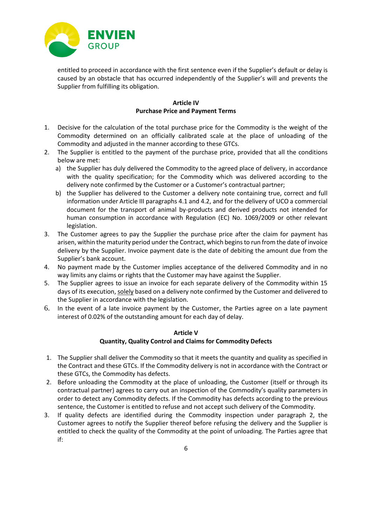

entitled to proceed in accordance with the first sentence even if the Supplier's default or delay is caused by an obstacle that has occurred independently of the Supplier's will and prevents the Supplier from fulfilling its obligation.

#### **Article IV Purchase Price and Payment Terms**

- 1. Decisive for the calculation of the total purchase price for the Commodity is the weight of the Commodity determined on an officially calibrated scale at the place of unloading of the Commodity and adjusted in the manner according to these GTCs.
- 2. The Supplier is entitled to the payment of the purchase price, provided that all the conditions below are met:
	- a) the Supplier has duly delivered the Commodity to the agreed place of delivery, in accordance with the quality specification; for the Commodity which was delivered according to the delivery note confirmed by the Customer or a Customer's contractual partner;
	- b) the Supplier has delivered to the Customer a delivery note containing true, correct and full information under Article III paragraphs 4.1 and 4.2, and for the delivery of UCO a commercial document for the transport of animal by-products and derived products not intended for human consumption in accordance with Regulation (EC) No. 1069/2009 or other relevant legislation.
- 3. The Customer agrees to pay the Supplier the purchase price after the claim for payment has arisen, within the maturity period under the Contract, which begins to run from the date of invoice delivery by the Supplier. Invoice payment date is the date of debiting the amount due from the Supplier's bank account.
- 4. No payment made by the Customer implies acceptance of the delivered Commodity and in no way limits any claims or rights that the Customer may have against the Supplier.
- 5. The Supplier agrees to issue an invoice for each separate delivery of the Commodity within 15 days of its execution, solely based on a delivery note confirmed by the Customer and delivered to the Supplier in accordance with the legislation.
- 6. In the event of a late invoice payment by the Customer, the Parties agree on a late payment interest of 0.02% of the outstanding amount for each day of delay.

#### **Article V**

### **Quantity, Quality Control and Claims for Commodity Defects**

- 1. The Supplier shall deliver the Commodity so that it meets the quantity and quality as specified in the Contract and these GTCs. If the Commodity delivery is not in accordance with the Contract or these GTCs, the Commodity has defects.
- 2. Before unloading the Commodity at the place of unloading, the Customer (itself or through its contractual partner) agrees to carry out an inspection of the Commodity's quality parameters in order to detect any Commodity defects. If the Commodity has defects according to the previous sentence, the Customer is entitled to refuse and not accept such delivery of the Commodity.
- 3. If quality defects are identified during the Commodity inspection under paragraph 2, the Customer agrees to notify the Supplier thereof before refusing the delivery and the Supplier is entitled to check the quality of the Commodity at the point of unloading. The Parties agree that if: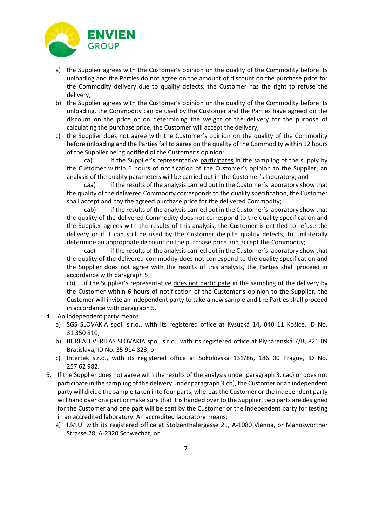

- a) the Supplier agrees with the Customer's opinion on the quality of the Commodity before its unloading and the Parties do not agree on the amount of discount on the purchase price for the Commodity delivery due to quality defects, the Customer has the right to refuse the delivery;
- b) the Supplier agrees with the Customer's opinion on the quality of the Commodity before its unloading, the Commodity can be used by the Customer and the Parties have agreed on the discount on the price or on determining the weight of the delivery for the purpose of calculating the purchase price, the Customer will accept the delivery;
- c) the Supplier does not agree with the Customer's opinion on the quality of the Commodity before unloading and the Parties fail to agree on the quality of the Commodity within 12 hours of the Supplier being notified of the Customer's opinion:

ca) if the Supplier's representative participates in the sampling of the supply by the Customer within 6 hours of notification of the Customer's opinion to the Supplier, an analysis of the quality parameters will be carried out in the Customer's laboratory; and

caa) if the results of the analysis carried out in the Customer's laboratory show that the quality of the delivered Commodity corresponds to the quality specification, the Customer shall accept and pay the agreed purchase price for the delivered Commodity;

cab) if the results of the analysis carried out in the Customer's laboratory show that the quality of the delivered Commodity does not correspond to the quality specification and the Supplier agrees with the results of this analysis, the Customer is entitled to refuse the delivery or if it can still be used by the Customer despite quality defects, to unilaterally determine an appropriate discount on the purchase price and accept the Commodity;

cac) if the results of the analysis carried out in the Customer's laboratory show that the quality of the delivered commodity does not correspond to the quality specification and the Supplier does not agree with the results of this analysis, the Parties shall proceed in accordance with paragraph 5;

cb) if the Supplier's representative does not participate in the sampling of the delivery by the Customer within 6 hours of notification of the Customer's opinion to the Supplier, the Customer will invite an independent party to take a new sample and the Parties shall proceed in accordance with paragraph 5.

- 4. An independent party means:
	- a) SGS SLOVAKIA spol. s r.o., with its registered office at Kysucká 14, 040 11 Košice, ID No. 31 350 810;
	- b) BUREAU VERITAS SLOVAKIA spol. s r.o., with its registered office at Plynárenská 7/B, 821 09 Bratislava, ID No. 35 914 823; or
	- c) Intertek s.r.o., with its registered office at Sokolovská 131/86, 186 00 Prague, ID No. 257 62 982.
- 5. If the Supplier does not agree with the results of the analysis under paragraph 3. cac) or does not participate in the sampling of the delivery under paragraph 3.cb), the Customer or an independent party will divide the sample taken into four parts, whereas the Customer or the independent party will hand over one part or make sure that it is handed over to the Supplier, two parts are designed for the Customer and one part will be sent by the Customer or the independent party for testing in an accredited laboratory. An accredited laboratory means:
	- a) I.M.U. with its registered office at Stolzenthalergasse 21, A-1080 Vienna, or Mannsworther Strasse 28, A-2320 Schwechat; or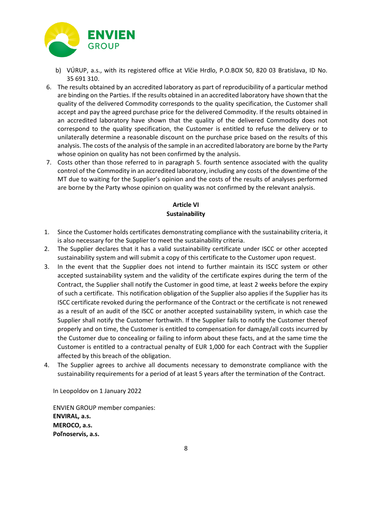

- b) VÚRUP, a.s., with its registered office at Vlčie Hrdlo, P.O.BOX 50, 820 03 Bratislava, ID No. 35 691 310.
- 6. The results obtained by an accredited laboratory as part of reproducibility of a particular method are binding on the Parties. If the results obtained in an accredited laboratory have shown that the quality of the delivered Commodity corresponds to the quality specification, the Customer shall accept and pay the agreed purchase price for the delivered Commodity. If the results obtained in an accredited laboratory have shown that the quality of the delivered Commodity does not correspond to the quality specification, the Customer is entitled to refuse the delivery or to unilaterally determine a reasonable discount on the purchase price based on the results of this analysis. The costs of the analysis of the sample in an accredited laboratory are borne by the Party whose opinion on quality has not been confirmed by the analysis.
- 7. Costs other than those referred to in paragraph 5. fourth sentence associated with the quality control of the Commodity in an accredited laboratory, including any costs of the downtime of the MT due to waiting for the Supplier's opinion and the costs of the results of analyses performed are borne by the Party whose opinion on quality was not confirmed by the relevant analysis.

## **Article VI Sustainability**

- 1. Since the Customer holds certificates demonstrating compliance with the sustainability criteria, it is also necessary for the Supplier to meet the sustainability criteria.
- 2. The Supplier declares that it has a valid sustainability certificate under ISCC or other accepted sustainability system and will submit a copy of this certificate to the Customer upon request.
- 3. In the event that the Supplier does not intend to further maintain its ISCC system or other accepted sustainability system and the validity of the certificate expires during the term of the Contract, the Supplier shall notify the Customer in good time, at least 2 weeks before the expiry of such a certificate. This notification obligation of the Supplier also applies if the Supplier has its ISCC certificate revoked during the performance of the Contract or the certificate is not renewed as a result of an audit of the ISCC or another accepted sustainability system, in which case the Supplier shall notify the Customer forthwith. If the Supplier fails to notify the Customer thereof properly and on time, the Customer is entitled to compensation for damage/all costs incurred by the Customer due to concealing or failing to inform about these facts, and at the same time the Customer is entitled to a contractual penalty of EUR 1,000 for each Contract with the Supplier affected by this breach of the obligation.
- 4. The Supplier agrees to archive all documents necessary to demonstrate compliance with the sustainability requirements for a period of at least 5 years after the termination of the Contract.

In Leopoldov on 1 January 2022

ENVIEN GROUP member companies: **ENVIRAL, a.s. MEROCO, a.s. Poľnoservis, a.s.**